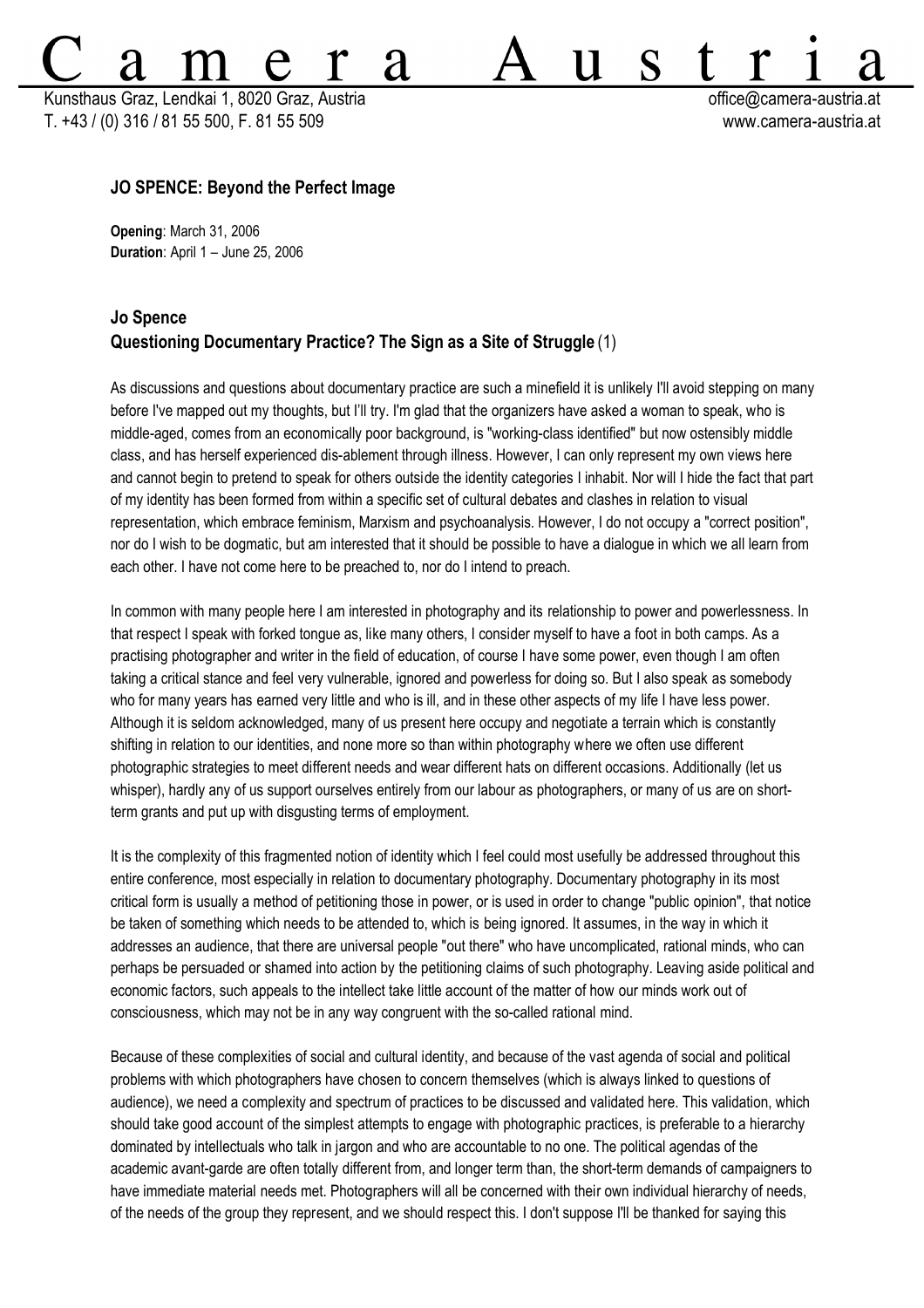Kunsthaus Graz, Lendkai 1, 8020 Graz, Austria **bei austria change austria change austria** et de control de contro T. +43 / (0) 316 / 81 55 500, F. 81 55 509 www.camera-austria.at

S

11

## **JO SPENCE: Beyond the Perfect Image**

**Opening**: March 31, 2006 **Duration**: April 1 – June 25, 2006

## **Jo Spence Questioning Documentary Practice? The Sign as a Site of Struggle** (1)

**'d** 

As discussions and questions about documentary practice are such a minefield it is unlikely I'll avoid stepping on many before I've mapped out my thoughts, but I'll try. I'm glad that the organizers have asked a woman to speak, who is middle-aged, comes from an economically poor background, is "working-class identified" but now ostensibly middle class, and has herself experienced dis-ablement through illness. However, I can only represent my own views here and cannot begin to pretend to speak for others outside the identity categories I inhabit. Nor will I hide the fact that part of my identity has been formed from within a specific set of cultural debates and clashes in relation to visual representation, which embrace feminism, Marxism and psychoanalysis. However, I do not occupy a "correct position", nor do I wish to be dogmatic, but am interested that it should be possible to have a dialogue in which we all learn from each other. I have not come here to be preached to, nor do I intend to preach.

In common with many people here I am interested in photography and its relationship to power and powerlessness. In that respect I speak with forked tongue as, like many others, I consider myself to have a foot in both camps. As a practising photographer and writer in the field of education, of course I have some power, even though I am often taking a critical stance and feel very vulnerable, ignored and powerless for doing so. But I also speak as somebody who for many years has earned very little and who is ill, and in these other aspects of my life I have less power. Although it is seldom acknowledged, many of us present here occupy and negotiate a terrain which is constantly shifting in relation to our identities, and none more so than within photography where we often use different photographic strategies to meet different needs and wear different hats on different occasions. Additionally (let us whisper), hardly any of us support ourselves entirely from our labour as photographers, or many of us are on shortterm grants and put up with disgusting terms of employment.

It is the complexity of this fragmented notion of identity which I feel could most usefully be addressed throughout this entire conference, most especially in relation to documentary photography. Documentary photography in its most critical form is usually a method of petitioning those in power, or is used in order to change "public opinion", that notice be taken of something which needs to be attended to, which is being ignored. It assumes, in the way in which it addresses an audience, that there are universal people "out there" who have uncomplicated, rational minds, who can perhaps be persuaded or shamed into action by the petitioning claims of such photography. Leaving aside political and economic factors, such appeals to the intellect take little account of the matter of how our minds work out of consciousness, which may not be in any way congruent with the so-called rational mind.

Because of these complexities of social and cultural identity, and because of the vast agenda of social and political problems with which photographers have chosen to concern themselves (which is always linked to questions of audience), we need a complexity and spectrum of practices to be discussed and validated here. This validation, which should take good account of the simplest attempts to engage with photographic practices, is preferable to a hierarchy dominated by intellectuals who talk in jargon and who are accountable to no one. The political agendas of the academic avant-garde are often totally different from, and longer term than, the short-term demands of campaigners to have immediate material needs met. Photographers will all be concerned with their own individual hierarchy of needs, of the needs of the group they represent, and we should respect this. I don't suppose I'll be thanked for saying this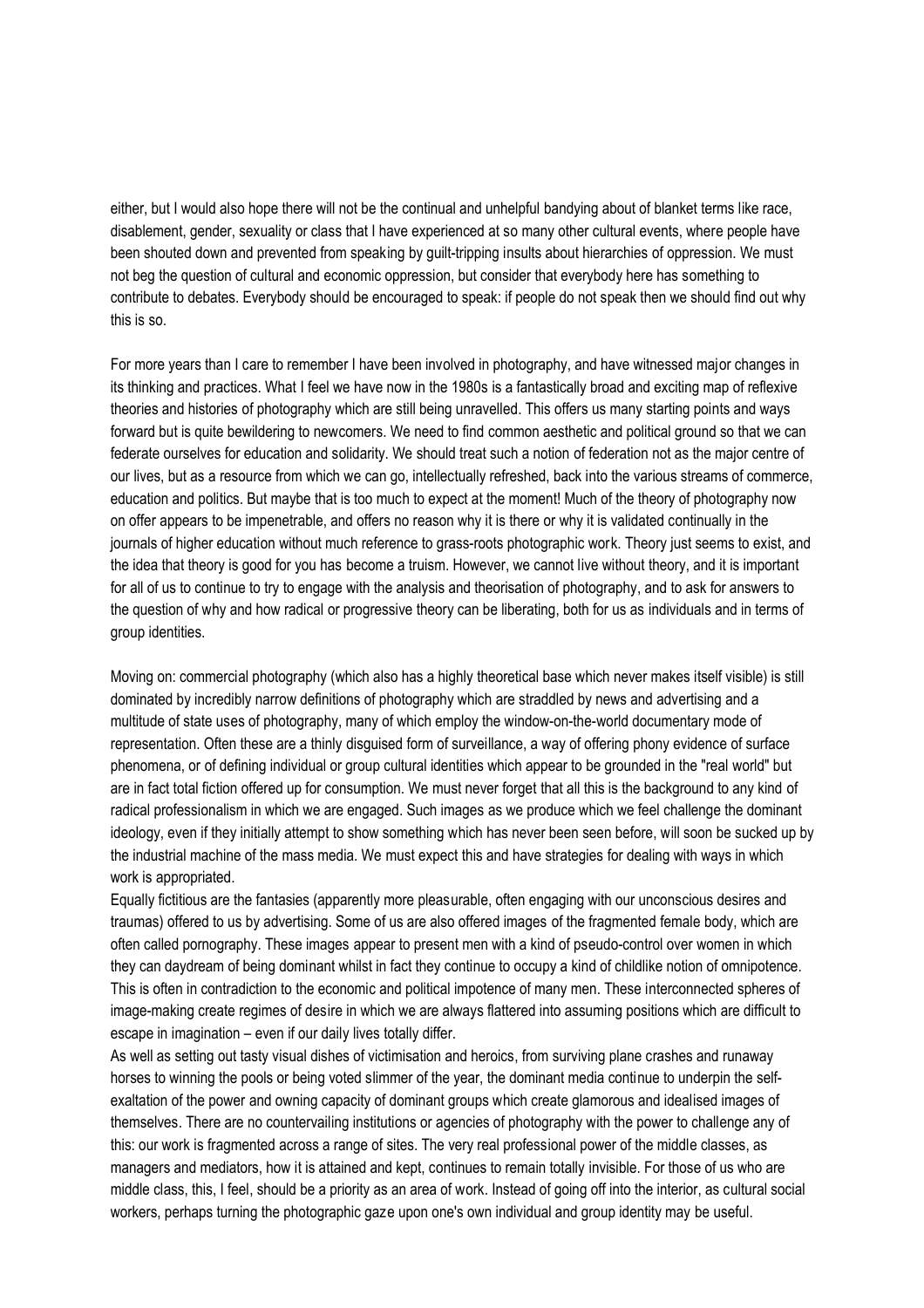either, but I would also hope there will not be the continual and unhelpful bandying about of blanket terms like race, disablement, gender, sexuality or class that I have experienced at so many other cultural events, where people have been shouted down and prevented from speaking by guilt-tripping insults about hierarchies of oppression. We must not beg the question of cultural and economic oppression, but consider that everybody here has something to contribute to debates. Everybody should be encouraged to speak: if people do not speak then we should find out why this is so.

For more years than I care to remember I have been involved in photography, and have witnessed major changes in its thinking and practices. What I feel we have now in the 1980s is a fantastically broad and exciting map of reflexive theories and histories of photography which are still being unravelled. This offers us many starting points and ways forward but is quite bewildering to newcomers. We need to find common aesthetic and political ground so that we can federate ourselves for education and solidarity. We should treat such a notion of federation not as the major centre of our lives, but as a resource from which we can go, intellectually refreshed, back into the various streams of commerce, education and politics. But maybe that is too much to expect at the moment! Much of the theory of photography now on offer appears to be impenetrable, and offers no reason why it is there or why it is validated continually in the journals of higher education without much reference to grass-roots photographic work. Theory just seems to exist, and the idea that theory is good for you has become a truism. However, we cannot live without theory, and it is important for all of us to continue to try to engage with the analysis and theorisation of photography, and to ask for answers to the question of why and how radical or progressive theory can be liberating, both for us as individuals and in terms of group identities.

Moving on: commercial photography (which also has a highly theoretical base which never makes itself visible) is still dominated by incredibly narrow definitions of photography which are straddled by news and advertising and a multitude of state uses of photography, many of which employ the window-on-the-world documentary mode of representation. Often these are a thinly disguised form of surveillance, a way of offering phony evidence of surface phenomena, or of defining individual or group cultural identities which appear to be grounded in the "real world" but are in fact total fiction offered up for consumption. We must never forget that all this is the background to any kind of radical professionalism in which we are engaged. Such images as we produce which we feel challenge the dominant ideology, even if they initially attempt to show something which has never been seen before, will soon be sucked up by the industrial machine of the mass media. We must expect this and have strategies for dealing with ways in which work is appropriated.

Equally fictitious are the fantasies (apparently more pleasurable, often engaging with our unconscious desires and traumas) offered to us by advertising. Some of us are also offered images of the fragmented female body, which are often called pornography. These images appear to present men with a kind of pseudo-control over women in which they can daydream of being dominant whilst in fact they continue to occupy a kind of childlike notion of omnipotence. This is often in contradiction to the economic and political impotence of many men. These interconnected spheres of image-making create regimes of desire in which we are always flattered into assuming positions which are difficult to escape in imagination – even if our daily lives totally differ.

As well as setting out tasty visual dishes of victimisation and heroics, from surviving plane crashes and runaway horses to winning the pools or being voted slimmer of the year, the dominant media continue to underpin the selfexaltation of the power and owning capacity of dominant groups which create glamorous and idealised images of themselves. There are no countervailing institutions or agencies of photography with the power to challenge any of this: our work is fragmented across a range of sites. The very real professional power of the middle classes, as managers and mediators, how it is attained and kept, continues to remain totally invisible. For those of us who are middle class, this, I feel, should be a priority as an area of work. Instead of going off into the interior, as cultural social workers, perhaps turning the photographic gaze upon one's own individual and group identity may be useful.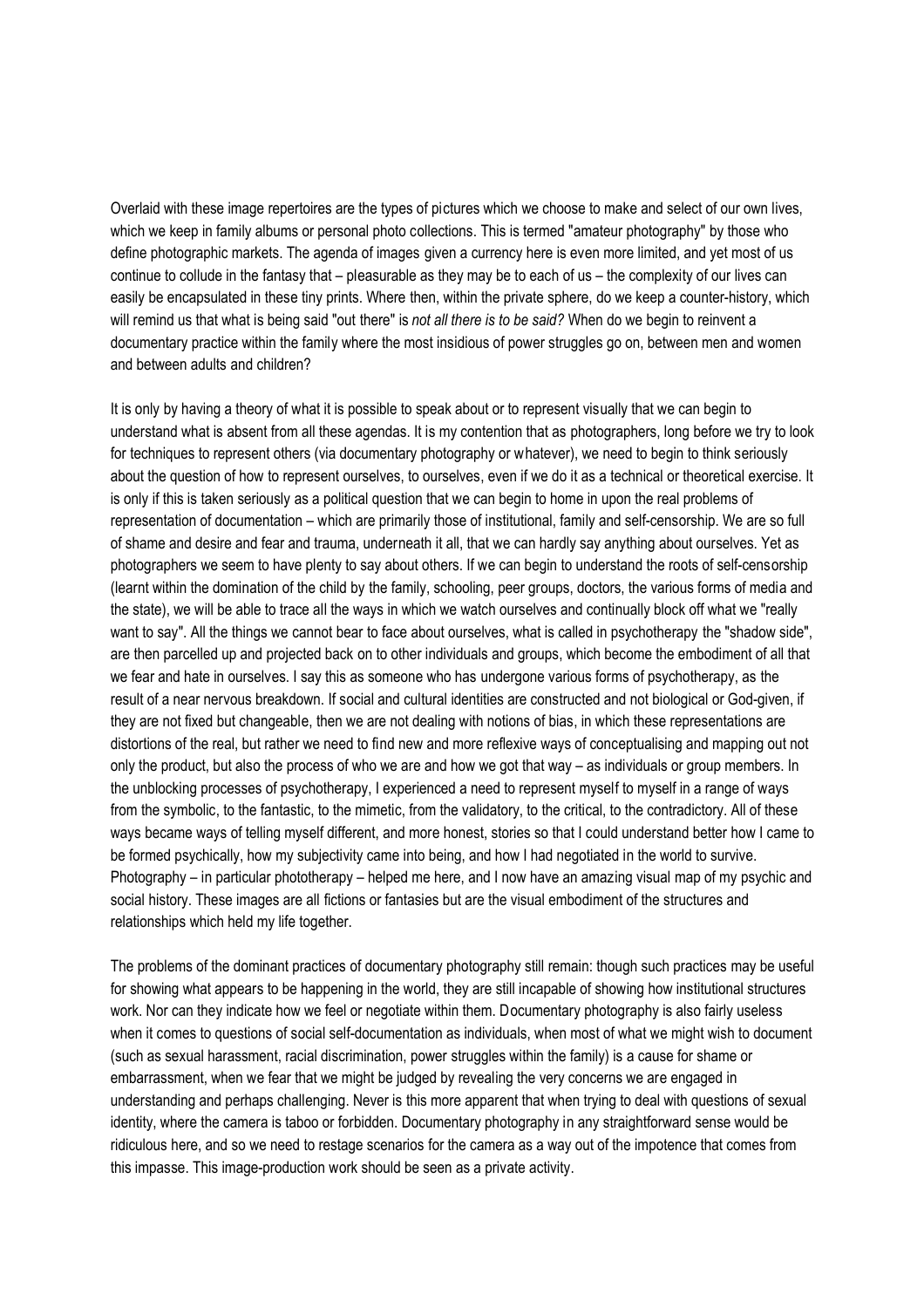Overlaid with these image repertoires are the types of pictures which we choose to make and select of our own lives, which we keep in family albums or personal photo collections. This is termed "amateur photography" by those who define photographic markets. The agenda of images given a currency here is even more limited, and yet most of us continue to collude in the fantasy that – pleasurable as they may be to each of us – the complexity of our lives can easily be encapsulated in these tiny prints. Where then, within the private sphere, do we keep a counter-history, which will remind us that what is being said "out there" is *not all there is to be said?* When do we begin to reinvent a documentary practice within the family where the most insidious of power struggles go on, between men and women and between adults and children?

It is only by having a theory of what it is possible to speak about or to represent visually that we can begin to understand what is absent from all these agendas. It is my contention that as photographers, long before we try to look for techniques to represent others (via documentary photography or whatever), we need to begin to think seriously about the question of how to represent ourselves, to ourselves, even if we do it as a technical or theoretical exercise. It is only if this is taken seriously as a political question that we can begin to home in upon the real problems of representation of documentation – which are primarily those of institutional, family and self-censorship. We are so full of shame and desire and fear and trauma, underneath it all, that we can hardly say anything about ourselves. Yet as photographers we seem to have plenty to say about others. If we can begin to understand the roots of self-censorship (learnt within the domination of the child by the family, schooling, peer groups, doctors, the various forms of media and the state), we will be able to trace all the ways in which we watch ourselves and continually block off what we "really want to say". All the things we cannot bear to face about ourselves, what is called in psychotherapy the "shadow side", are then parcelled up and projected back on to other individuals and groups, which become the embodiment of all that we fear and hate in ourselves. I say this as someone who has undergone various forms of psychotherapy, as the result of a near nervous breakdown. If social and cultural identities are constructed and not biological or God-given, if they are not fixed but changeable, then we are not dealing with notions of bias, in which these representations are distortions of the real, but rather we need to find new and more reflexive ways of conceptualising and mapping out not only the product, but also the process of who we are and how we got that way – as individuals or group members. In the unblocking processes of psychotherapy, I experienced a need to represent myself to myself in a range of ways from the symbolic, to the fantastic, to the mimetic, from the validatory, to the critical, to the contradictory. All of these ways became ways of telling myself different, and more honest, stories so that I could understand better how I came to be formed psychically, how my subjectivity came into being, and how I had negotiated in the world to survive. Photography – in particular phototherapy – helped me here, and I now have an amazing visual map of my psychic and social history. These images are all fictions or fantasies but are the visual embodiment of the structures and relationships which held my life together.

The problems of the dominant practices of documentary photography still remain: though such practices may be useful for showing what appears to be happening in the world, they are still incapable of showing how institutional structures work. Nor can they indicate how we feel or negotiate within them. Documentary photography is also fairly useless when it comes to questions of social self-documentation as individuals, when most of what we might wish to document (such as sexual harassment, racial discrimination, power struggles within the family) is a cause for shame or embarrassment, when we fear that we might be judged by revealing the very concerns we are engaged in understanding and perhaps challenging. Never is this more apparent that when trying to deal with questions of sexual identity, where the camera is taboo or forbidden. Documentary photography in any straightforward sense would be ridiculous here, and so we need to restage scenarios for the camera as a way out of the impotence that comes from this impasse. This image-production work should be seen as a private activity.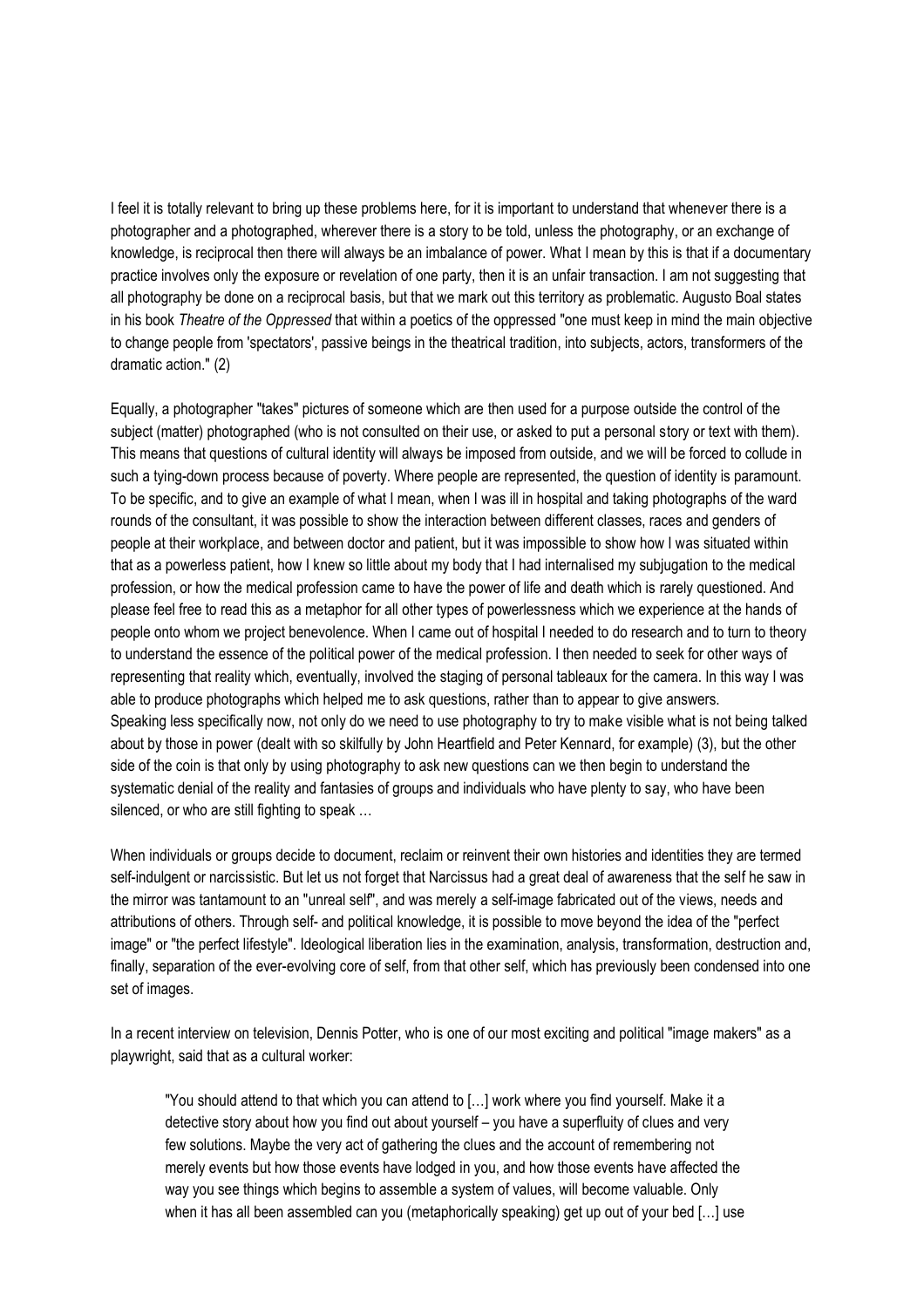I feel it is totally relevant to bring up these problems here, for it is important to understand that whenever there is a photographer and a photographed, wherever there is a story to be told, unless the photography, or an exchange of knowledge, is reciprocal then there will always be an imbalance of power. What I mean by this is that if a documentary practice involves only the exposure or revelation of one party, then it is an unfair transaction. I am not suggesting that all photography be done on a reciprocal basis, but that we mark out this territory as problematic. Augusto Boal states in his book *Theatre of the Oppressed* that within a poetics of the oppressed "one must keep in mind the main objective to change people from 'spectators', passive beings in the theatrical tradition, into subjects, actors, transformers of the dramatic action." (2)

Equally, a photographer "takes" pictures of someone which are then used for a purpose outside the control of the subject (matter) photographed (who is not consulted on their use, or asked to put a personal story or text with them). This means that questions of cultural identity will always be imposed from outside, and we will be forced to collude in such a tying-down process because of poverty. Where people are represented, the question of identity is paramount. To be specific, and to give an example of what I mean, when I was ill in hospital and taking photographs of the ward rounds of the consultant, it was possible to show the interaction between different classes, races and genders of people at their workplace, and between doctor and patient, but it was impossible to show how I was situated within that as a powerless patient, how I knew so little about my body that I had internalised my subjugation to the medical profession, or how the medical profession came to have the power of life and death which is rarely questioned. And please feel free to read this as a metaphor for all other types of powerlessness which we experience at the hands of people onto whom we project benevolence. When I came out of hospital I needed to do research and to turn to theory to understand the essence of the political power of the medical profession. I then needed to seek for other ways of representing that reality which, eventually, involved the staging of personal tableaux for the camera. In this way I was able to produce photographs which helped me to ask questions, rather than to appear to give answers. Speaking less specifically now, not only do we need to use photography to try to make visible what is not being talked about by those in power (dealt with so skilfully by John Heartfield and Peter Kennard, for example) (3), but the other side of the coin is that only by using photography to ask new questions can we then begin to understand the systematic denial of the reality and fantasies of groups and individuals who have plenty to say, who have been silenced, or who are still fighting to speak …

When individuals or groups decide to document, reclaim or reinvent their own histories and identities they are termed self-indulgent or narcissistic. But let us not forget that Narcissus had a great deal of awareness that the self he saw in the mirror was tantamount to an "unreal self", and was merely a self-image fabricated out of the views, needs and attributions of others. Through self- and political knowledge, it is possible to move beyond the idea of the "perfect image" or "the perfect lifestyle". Ideological liberation lies in the examination, analysis, transformation, destruction and, finally, separation of the ever-evolving core of self, from that other self, which has previously been condensed into one set of images.

In a recent interview on television, Dennis Potter, who is one of our most exciting and political "image makers" as a playwright, said that as a cultural worker:

"You should attend to that which you can attend to […] work where you find yourself. Make it a detective story about how you find out about yourself – you have a superfluity of clues and very few solutions. Maybe the very act of gathering the clues and the account of remembering not merely events but how those events have lodged in you, and how those events have affected the way you see things which begins to assemble a system of values, will become valuable. Only when it has all been assembled can you (metaphorically speaking) get up out of your bed […] use